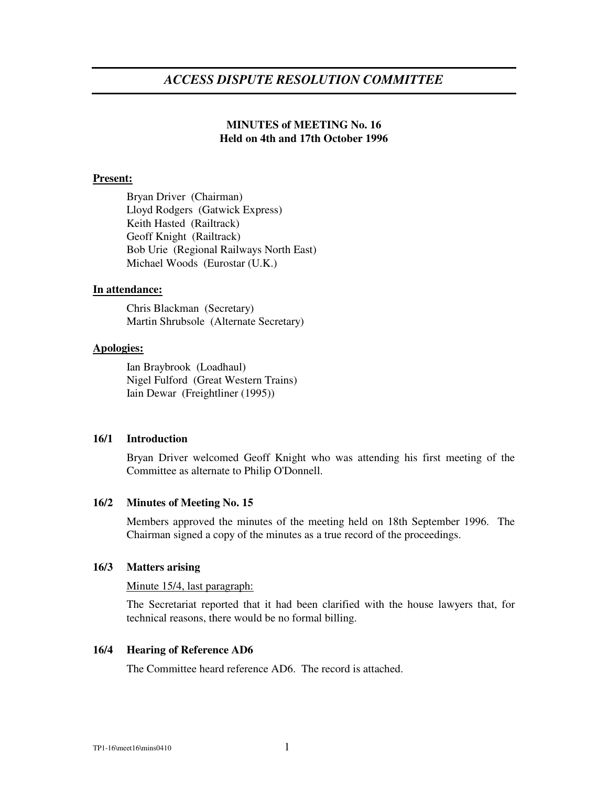# **MINUTES of MEETING No. 16 Held on 4th and 17th October 1996**

## **Present:**

Bryan Driver (Chairman) Lloyd Rodgers (Gatwick Express) Keith Hasted (Railtrack) Geoff Knight (Railtrack) Bob Urie (Regional Railways North East) Michael Woods (Eurostar (U.K.)

## **In attendance:**

Chris Blackman (Secretary) Martin Shrubsole (Alternate Secretary)

## **Apologies:**

Ian Braybrook (Loadhaul) Nigel Fulford (Great Western Trains) Iain Dewar (Freightliner (1995))

## **16/1 Introduction**

Bryan Driver welcomed Geoff Knight who was attending his first meeting of the Committee as alternate to Philip O'Donnell.

## **16/2 Minutes of Meeting No. 15**

Members approved the minutes of the meeting held on 18th September 1996. The Chairman signed a copy of the minutes as a true record of the proceedings.

## **16/3 Matters arising**

## Minute 15/4, last paragraph:

The Secretariat reported that it had been clarified with the house lawyers that, for technical reasons, there would be no formal billing.

## **16/4 Hearing of Reference AD6**

The Committee heard reference AD6. The record is attached.